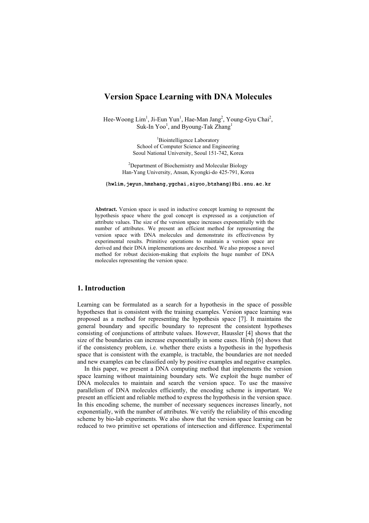# **Version Space Learning with DNA Molecules**

Hee-Woong Lim<sup>1</sup>, Ji-Eun Yun<sup>1</sup>, Hae-Man Jang<sup>2</sup>, Young-Gyu Chai<sup>2</sup>, Suk-In  $Yoo<sup>1</sup>$ , and Byoung-Tak Zhang<sup>1</sup>

> <sup>1</sup>Biointelligence Laboratory School of Computer Science and Engineering Seoul National University, Seoul 151-742, Korea

<sup>2</sup>Department of Biochemistry and Molecular Biology Han-Yang University, Ansan, Kyongki-do 425-791, Korea

**{hwlim,jeyun,hmzhang,ygchai,siyoo,btzhang}@bi.snu.ac.kr**

**Abstract.** Version space is used in inductive concept learning to represent the hypothesis space where the goal concept is expressed as a conjunction of attribute values. The size of the version space increases exponentially with the number of attributes. We present an efficient method for representing the version space with DNA molecules and demonstrate its effectiveness by experimental results. Primitive operations to maintain a version space are derived and their DNA implementations are described. We also propose a novel method for robust decision-making that exploits the huge number of DNA molecules representing the version space.

# **1. Introduction**

Learning can be formulated as a search for a hypothesis in the space of possible hypotheses that is consistent with the training examples. Version space learning was proposed as a method for representing the hypothesis space [7]. It maintains the general boundary and specific boundary to represent the consistent hypotheses consisting of conjunctions of attribute values. However, Haussler [4] shows that the size of the boundaries can increase exponentially in some cases. Hirsh [6] shows that if the consistency problem, i.e. whether there exists a hypothesis in the hypothesis space that is consistent with the example, is tractable, the boundaries are not needed and new examples can be classified only by positive examples and negative examples.

In this paper, we present a DNA computing method that implements the version space learning without maintaining boundary sets. We exploit the huge number of DNA molecules to maintain and search the version space. To use the massive parallelism of DNA molecules efficiently, the encoding scheme is important. We present an efficient and reliable method to express the hypothesis in the version space. In this encoding scheme, the number of necessary sequences increases linearly, not exponentially, with the number of attributes. We verify the reliability of this encoding scheme by bio-lab experiments. We also show that the version space learning can be reduced to two primitive set operations of intersection and difference. Experimental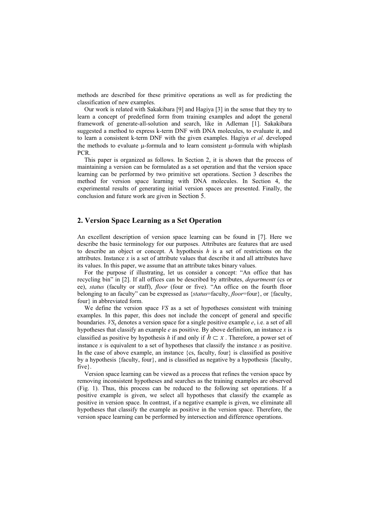methods are described for these primitive operations as well as for predicting the classification of new examples.

Our work is related with Sakakibara [9] and Hagiya [3] in the sense that they try to learn a concept of predefined form from training examples and adopt the general framework of generate-all-solution and search, like in Adleman [1]. Sakakibara suggested a method to express k-term DNF with DNA molecules, to evaluate it, and to learn a consistent k-term DNF with the given examples. Hagiya *et al*. developed the methods to evaluate  $\mu$ -formula and to learn consistent  $\mu$ -formula with whiplash PCR.

This paper is organized as follows. In Section 2, it is shown that the process of maintaining a version can be formulated as a set operation and that the version space learning can be performed by two primitive set operations. Section 3 describes the method for version space learning with DNA molecules. In Section 4, the experimental results of generating initial version spaces are presented. Finally, the conclusion and future work are given in Section 5.

# **2. Version Space Learning as a Set Operation**

An excellent description of version space learning can be found in [7]. Here we describe the basic terminology for our purposes. Attributes are features that are used to describe an object or concept. A hypothesis *h* is a set of restrictions on the attributes. Instance *x* is a set of attribute values that describe it and all attributes have its values. In this paper, we assume that an attribute takes binary values.

For the purpose if illustrating, let us consider a concept: "An office that has recycling bin" in [2]. If all offices can be described by attributes, *departmentt* (cs or ee), *status* (faculty or staff), *floor* (four or five). "An office on the fourth floor belonging to an faculty" can be expressed as {*status*=faculty, *floor*=four}, or {faculty, four} in abbreviated form.

We define the version space *VS* as a set of hypotheses consistent with training examples. In this paper, this does not include the concept of general and specific boundaries. *VS*e denotes a version space for a single positive example *e*, i.e. a set of all hypotheses that classify an example *e* as positive. By above definition, an instance *x* is classified as positive by hypothesis *h* if and only if  $h \subset x$ . Therefore, a power set of instance  $x$  is equivalent to a set of hypotheses that classify the instance  $x$  as positive. In the case of above example, an instance {cs, faculty, four} is classified as positive by a hypothesis {faculty, four}, and is classified as negative by a hypothesis {faculty, five}.

Version space learning can be viewed as a process that refines the version space by removing inconsistent hypotheses and searches as the training examples are observed (Fig. 1). Thus, this process can be reduced to the following set operations. If a positive example is given, we select all hypotheses that classify the example as positive in version space. In contrast, if a negative example is given, we eliminate all hypotheses that classify the example as positive in the version space. Therefore, the version space learning can be performed by intersection and difference operations.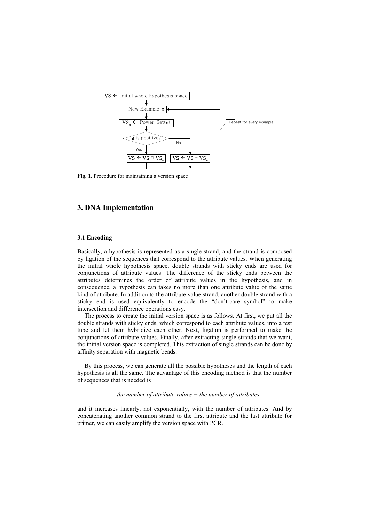

**Fig. 1.** Procedure for maintaining a version space

# **3. DNA Implementation**

#### **3.1 Encoding**

Basically, a hypothesis is represented as a single strand, and the strand is composed by ligation of the sequences that correspond to the attribute values. When generating the initial whole hypothesis space, double strands with sticky ends are used for conjunctions of attribute values. The difference of the sticky ends between the attributes determines the order of attribute values in the hypothesis, and in consequence, a hypothesis can takes no more than one attribute value of the same kind of attribute. In addition to the attribute value strand, another double strand with a sticky end is used equivalently to encode the "don't-care symbol" to make intersection and difference operations easy.

The process to create the initial version space is as follows. At first, we put all the double strands with sticky ends, which correspond to each attribute values, into a test tube and let them hybridize each other. Next, ligation is performed to make the conjunctions of attribute values. Finally, after extracting single strands that we want, the initial version space is completed. This extraction of single strands can be done by affinity separation with magnetic beads.

By this process, we can generate all the possible hypotheses and the length of each hypothesis is all the same. The advantage of this encoding method is that the number of sequences that is needed is

#### *the number of attribute values + the number of attributes*

and it increases linearly, not exponentially, with the number of attributes. And by concatenating another common strand to the first attribute and the last attribute for primer, we can easily amplify the version space with PCR.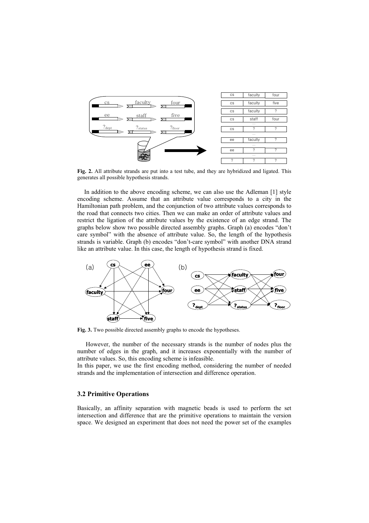

**Fig. 2.** All attribute strands are put into a test tube, and they are hybridized and ligated. This generates all possible hypothesis strands.

In addition to the above encoding scheme, we can also use the Adleman [1] style encoding scheme. Assume that an attribute value corresponds to a city in the Hamiltonian path problem, and the conjunction of two attribute values corresponds to the road that connects two cities. Then we can make an order of attribute values and restrict the ligation of the attribute values by the existence of an edge strand. The graphs below show two possible directed assembly graphs. Graph (a) encodes "don't care symbol" with the absence of attribute value. So, the length of the hypothesis strands is variable. Graph (b) encodes "don't-care symbol" with another DNA strand like an attribute value. In this case, the length of hypothesis strand is fixed.



**Fig. 3.** Two possible directed assembly graphs to encode the hypotheses.

However, the number of the necessary strands is the number of nodes plus the number of edges in the graph, and it increases exponentially with the number of attribute values. So, this encoding scheme is infeasible.

In this paper, we use the first encoding method, considering the number of needed strands and the implementation of intersection and difference operation.

#### **3.2 Primitive Operations**

Basically, an affinity separation with magnetic beads is used to perform the set intersection and difference that are the primitive operations to maintain the version space. We designed an experiment that does not need the power set of the examples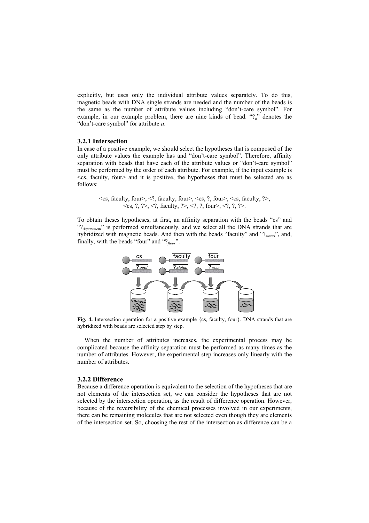explicitly, but uses only the individual attribute values separately. To do this, magnetic beads with DNA single strands are needed and the number of the beads is the same as the number of attribute values including "don't-care symbol". For example, in our example problem, there are nine kinds of bead. " $?a$ " denotes the "don't-care symbol" for attribute *a*.

#### **3.2.1 Intersection**

In case of a positive example, we should select the hypotheses that is composed of the only attribute values the example has and "don't-care symbol". Therefore, affinity separation with beads that have each of the attribute values or "don't-care symbol" must be performed by the order of each attribute. For example, if the input example is <cs, faculty, four> and it is positive, the hypotheses that must be selected are as follows:

 $\langle \cos$ , faculty, four $\langle \cos \theta, \sin \theta \rangle$ ,  $\langle \cos \theta, \sin \theta \rangle$ ,  $\langle \cos \theta, \sin \theta \rangle$ ,  $\langle \cos \theta, \sin \theta \rangle$ ,  $\langle \cos \theta, \sin \theta \rangle$ ,  $\langle \cos \theta, \sin \theta \rangle$  $\langle \cos, ? \rangle$ ,  $\langle ? \rangle$ ,  $\langle ? \rangle$ , faculty,  $? \rangle$ ,  $\langle ? \rangle$ ,  $? \rangle$ , four $\langle ? \rangle$ ,  $? \rangle$ ,  $? \rangle$ .

To obtain theses hypotheses, at first, an affinity separation with the beads "cs" and "?<sub>department</sub>" is performed simultaneously, and we select all the DNA strands that are hybridized with magnetic beads. And then with the beads "faculty" and "?*status*", and, finally, with the beads "four" and "?*floor*".



Fig. 4. Intersection operation for a positive example {cs, faculty, four}. DNA strands that are hybridized with beads are selected step by step.

When the number of attributes increases, the experimental process may be complicated because the affinity separation must be performed as many times as the number of attributes. However, the experimental step increases only linearly with the number of attributes.

#### **3.2.2 Difference**

Because a difference operation is equivalent to the selection of the hypotheses that are not elements of the intersection set, we can consider the hypotheses that are not selected by the intersection operation, as the result of difference operation. However, because of the reversibility of the chemical processes involved in our experiments, there can be remaining molecules that are not selected even though they are elements of the intersection set. So, choosing the rest of the intersection as difference can be a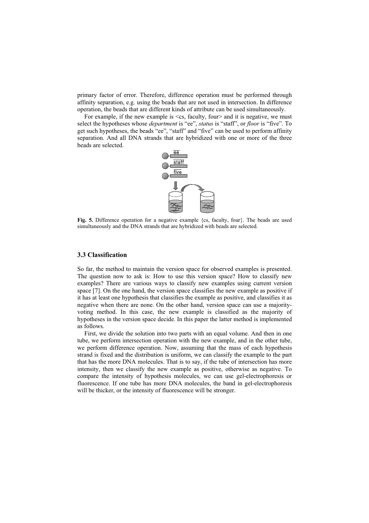primary factor of error. Therefore, difference operation must be performed through affinity separation, e.g. using the beads that are not used in intersection. In difference operation, the beads that are different kinds of attribute can be used simultaneously.

For example, if the new example is  $\leq$ cs, faculty, four and it is negative, we must select the hypotheses whose *department* is "ee", *status* is "staff", or *floor* is "five". To get such hypotheses, the beads "ee", "staff" and "five" can be used to perform affinity separation. And all DNA strands that are hybridized with one or more of the three beads are selected.



Fig. 5. Difference operation for a negative example {cs, faculty, four}. The beads are used simultaneously and the DNA strands that are hybridized with beads are selected.

## **3.3 Classification**

So far, the method to maintain the version space for observed examples is presented. The question now to ask is: How to use this version space? How to classify new examples? There are various ways to classify new examples using current version space [7]. On the one hand, the version space classifies the new example as positive if it has at least one hypothesis that classifies the example as positive, and classifies it as negative when there are none. On the other hand, version space can use a majorityvoting method. In this case, the new example is classified as the majority of hypotheses in the version space decide. In this paper the latter method is implemented as follows.

First, we divide the solution into two parts with an equal volume. And then in one tube, we perform intersection operation with the new example, and in the other tube, we perform difference operation. Now, assuming that the mass of each hypothesis strand is fixed and the distribution is uniform, we can classify the example to the part that has the more DNA molecules. That is to say, if the tube of intersection has more intensity, then we classify the new example as positive, otherwise as negative. To compare the intensity of hypothesis molecules, we can use gel-electrophoresis or fluorescence. If one tube has more DNA molecules, the band in gel-electrophoresis will be thicker, or the intensity of fluorescence will be stronger.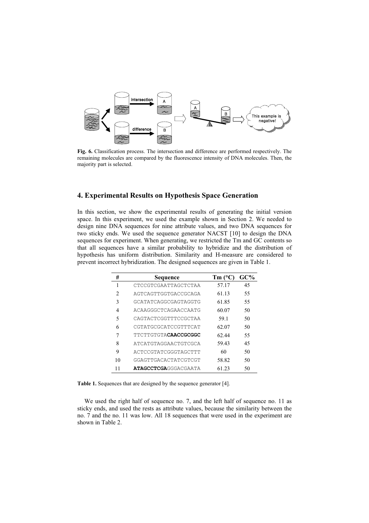

**Fig. 6.** Classification process. The intersection and difference are performed respectively. The remaining molecules are compared by the fluorescence intensity of DNA molecules. Then, the majority part is selected.

# **4. Experimental Results on Hypothesis Space Generation**

In this section, we show the experimental results of generating the initial version space. In this experiment, we used the example shown in Section 2. We needed to design nine DNA sequences for nine attribute values, and two DNA sequences for two sticky ends. We used the sequence generator NACST [10] to design the DNA sequences for experiment. When generating, we restricted the Tm and GC contents so that all sequences have a similar probability to hybridize and the distribution of hypothesis has uniform distribution. Similarity and H-measure are considered to prevent incorrect hybridization. The designed sequences are given in Table 1.

| #  | Sequence                     | $Tm$ ( $^{\circ}$ C | GC% |
|----|------------------------------|---------------------|-----|
| 1  | CTCCGTCGAATTAGCTCTAA         | 57.17               | 45  |
| 2  | AGTCAGTTGGTGACCGCAGA         | 61.13               | 55  |
| 3  | GCATATCAGGCGAGTAGGTG         | 61.85               | 55  |
| 4  | ACAAGGGCTCAGAACCAATG         | 60.07               | 50  |
| 5  | CAGTACTCGGTTTCCGCTAA         | 59.1                | 50  |
| 6  | CGTATGCGCATCCGTTTCAT         | 62.07               | 50  |
| 7  | TTCTTGTGTA <b>CAACCGCGGC</b> | 62.44               | 55  |
| 8  | ATCATGTAGGAACTGTCGCA         | 59.43               | 45  |
| 9  | ACTCCGTATCGGGTAGCTTT         | 60                  | 50  |
| 10 | GGAGTTGACACTATCGTCGT         | 58.82               | 50  |
|    | <b>ATAGCCTCGA</b> GGGACGAATA | 61.23               | 50  |
|    |                              |                     |     |

**Table 1.** Sequences that are designed by the sequence generator [4].

We used the right half of sequence no. 7, and the left half of sequence no. 11 as sticky ends, and used the rests as attribute values, because the similarity between the no. 7 and the no. 11 was low. All 18 sequences that were used in the experiment are shown in Table 2.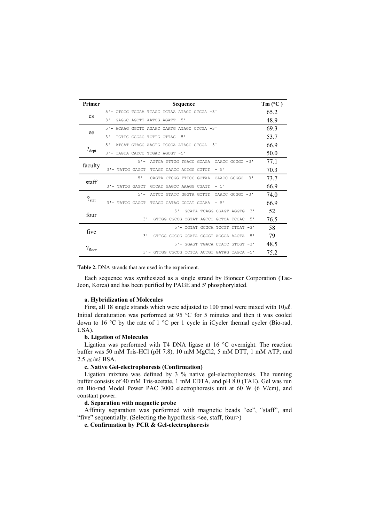| Primer            | Sequence                                        | $Tm (^{\circ}C)$ |
|-------------------|-------------------------------------------------|------------------|
| <b>CS</b>         | 5'- CTCCG TCGAA TTAGC TCTAA ATAGC CTCGA -3'     | 65.2             |
|                   | 3'- GAGGC AGCTT AATCG AGATT -5'                 | 48.9             |
| ee                | 5'- ACAAG GGCTC AGAAC CAATG ATAGC CTCGA -3'     | 69.3             |
|                   | 3'- TGTTC CCGAG TCTTG GTTAC -5'                 | 53.7             |
| $?_{\text{dept}}$ | 5'- ATCAT GTAGG AACTG TCGCA ATAGC CTCGA -3'     | 66.9             |
|                   | 3'- TAGTA CATCC TTGAC AGCGT -5'                 | 50.0             |
| faculty           | 5'- AGTCA GTTGG TGACC GCAGA CAACC GCGGC -3'     | 77.1             |
|                   | 3'- TATCG GAGCT<br>TCAGT CAACC ACTGG CGTCT - 5' | 70.3             |
| staff             | 5'- CAGTA CTCGG TTTCC GCTAA CAACC GCGGC -3'     | 73.7             |
|                   | 3'- TATCG GAGCT GTCAT GAGCC AAAGG CGATT - 5'    | 66.9             |
| $?_{\rm stat}$    | 5'- ACTCC GTATC GGGTA GCTTT CAACC GCGGC -3'     | 74.0             |
|                   | 3'- TATCG GAGCT<br>TGAGG CATAG CCCAT CGAAA - 5' | 66.9             |
| four              | 5'- GCATA TCAGG CGAGT AGGTG -3'                 | 52               |
|                   | 3'- GTTGG CGCCG CGTAT AGTCC GCTCA TCCAC -5'     | 76.5             |
| five              | 5'- CGTAT GCGCA TCCGT TTCAT -3'                 | 58               |
|                   | 3'- GTTGG CGCCG GCATA CGCGT AGGCA AAGTA -5'     | 79               |
| $?_{floor}$       | 5'- GGAGT TGACA CTATC GTCGT -3'                 | 48.5             |
|                   | 3'- GTTGG CGCCG CCTCA ACTGT GATAG CAGCA -5'     | 75.2             |

**Table 2.** DNA strands that are used in the experiment.

Each sequence was synthesized as a single strand by Bioneer Corporation (Tae-Jeon, Korea) and has been purified by PAGE and 5' phosphorylated.

#### **a. Hybridization of Molecules**

First, all 18 single strands which were adjusted to 100 pmol were mixed with  $10 \mu l$ . Initial denaturation was performed at 95  $\degree$ C for 5 minutes and then it was cooled down to 16  $\degree$ C by the rate of 1  $\degree$ C per 1 cycle in iCycler thermal cycler (Bio-rad, USA).

## **b. Ligation of Molecules**

Ligation was performed with T4 DNA ligase at  $16^{\circ}$ C overnight. The reaction buffer was 50 mM Tris-HCl (pH 7.8), 10 mM MgCl2, 5 mM DTT, 1 mM ATP, and  $2.5 \mu$ g/ml BSA.

#### **c. Native Gel-electrophoresis (Confirmation)**

Ligation mixture was defined by 3 % native gel-electrophoresis. The running buffer consists of 40 mM Tris-acetate, 1 mM EDTA, and pH 8.0 (TAE). Gel was run on Bio-rad Model Power PAC 3000 electrophoresis unit at 60 W (6 V/cm), and constant power.

#### **d. Separation with magnetic probe**

Affinity separation was performed with magnetic beads "ee", "staff", and "five" sequentially. (Selecting the hypothesis <ee, staff, four>)

**e. Confirmation by PCR & Gel-electrophoresis**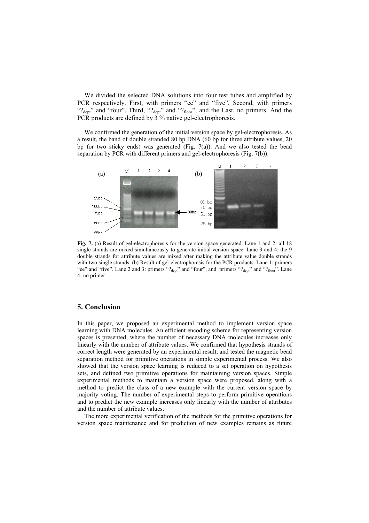We divided the selected DNA solutions into four test tubes and amplified by PCR respectively. First, with primers "ee" and "five", Second, with primers " $?_{\text{dept}}$ " and "four", Third, " $?_{\text{dept}}$ " and " $?_{\text{floor}}$ ", and the Last, no primers. And the PCR products are defined by 3 % native gel-electrophoresis.

We confirmed the generation of the initial version space by gel-electrophoresis. As a result, the band of double stranded 80 bp DNA (60 bp for three attribute values, 20 bp for two sticky ends) was generated (Fig.  $7(a)$ ). And we also tested the bead separation by PCR with different primers and gel-electrophoresis (Fig. 7(b)).



**Fig. 7.** (a) Result of gel-electrophoresis for the version space generated. Lane 1 and 2: all 18 single strands are mixed simultaneously to generate initial version space. Lane 3 and 4: the 9 double strands for attribute values are mixed after making the attribute value double strands with two single strands. (b) Result of gel-electrophoresis for the PCR products. Lane 1: primers "ee" and "five". Lane 2 and 3: primers "?<sub>dept</sub>" and "four", and primers "?<sub>dept</sub>" and "?<sub>floor</sub>". Lane 4: no primer

## **5. Conclusion**

In this paper, we proposed an experimental method to implement version space learning with DNA molecules. An efficient encoding scheme for representing version spaces is presented, where the number of necessary DNA molecules increases only linearly with the number of attribute values. We confirmed that hypothesis strands of correct length were generated by an experimental result, and tested the magnetic bead separation method for primitive operations in simple experimental process. We also showed that the version space learning is reduced to a set operation on hypothesis sets, and defined two primitive operations for maintaining version spaces. Simple experimental methods to maintain a version space were proposed, along with a method to predict the class of a new example with the current version space by majority voting. The number of experimental steps to perform primitive operations and to predict the new example increases only linearly with the number of attributes and the number of attribute values.

The more experimental verification of the methods for the primitive operations for version space maintenance and for prediction of new examples remains as future